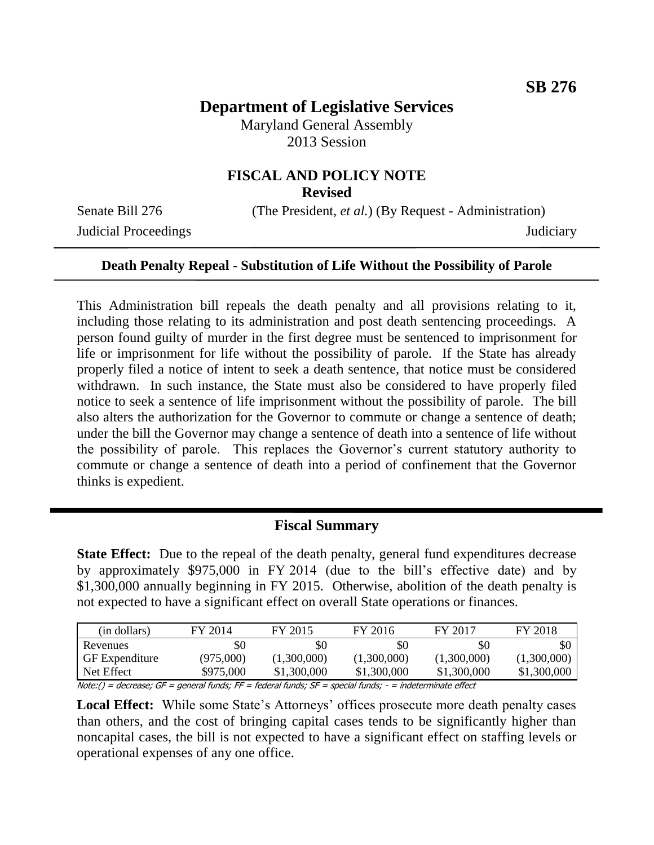# **Department of Legislative Services**

Maryland General Assembly 2013 Session

# **FISCAL AND POLICY NOTE**

**Revised**

Judicial Proceedings Judiciary

Senate Bill 276 (The President, *et al.*) (By Request - Administration)

#### **Death Penalty Repeal - Substitution of Life Without the Possibility of Parole**

This Administration bill repeals the death penalty and all provisions relating to it, including those relating to its administration and post death sentencing proceedings. A person found guilty of murder in the first degree must be sentenced to imprisonment for life or imprisonment for life without the possibility of parole. If the State has already properly filed a notice of intent to seek a death sentence, that notice must be considered withdrawn. In such instance, the State must also be considered to have properly filed notice to seek a sentence of life imprisonment without the possibility of parole. The bill also alters the authorization for the Governor to commute or change a sentence of death; under the bill the Governor may change a sentence of death into a sentence of life without the possibility of parole. This replaces the Governor's current statutory authority to commute or change a sentence of death into a period of confinement that the Governor thinks is expedient.

#### **Fiscal Summary**

**State Effect:** Due to the repeal of the death penalty, general fund expenditures decrease by approximately \$975,000 in FY 2014 (due to the bill's effective date) and by \$1,300,000 annually beginning in FY 2015. Otherwise, abolition of the death penalty is not expected to have a significant effect on overall State operations or finances.

| (in dollars)                                                                                         | FY 2014   | FY 2015     | FY 2016     | FY 2017     | FY 2018     |
|------------------------------------------------------------------------------------------------------|-----------|-------------|-------------|-------------|-------------|
| Revenues                                                                                             | \$0       | \$0         | SC          | \$0         | \$0         |
| <b>GF</b> Expenditure                                                                                | (975,000) | (1,300,000) | (1,300,000) | (1,300,000) | (1,300,000) |
| Net Effect                                                                                           | \$975,000 | \$1,300,000 | \$1,300,000 | \$1,300,000 | \$1,300,000 |
| $Natou() = docececeu CE = general fundu EE = fodovu fuuda; CE = encial fundu = indatorminato affact$ |           |             |             |             |             |

Note:() = decrease; GF = general funds; FF = federal funds; SF = special funds; - = indeterminate effect

Local Effect: While some State's Attorneys' offices prosecute more death penalty cases than others, and the cost of bringing capital cases tends to be significantly higher than noncapital cases, the bill is not expected to have a significant effect on staffing levels or operational expenses of any one office.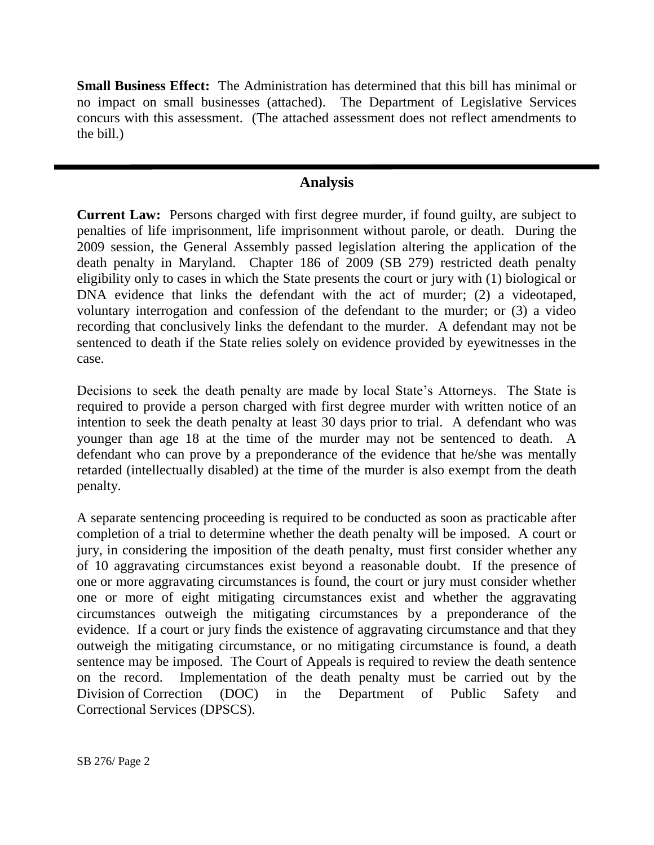**Small Business Effect:** The Administration has determined that this bill has minimal or no impact on small businesses (attached). The Department of Legislative Services concurs with this assessment. (The attached assessment does not reflect amendments to the bill.)

## **Analysis**

**Current Law:** Persons charged with first degree murder, if found guilty, are subject to penalties of life imprisonment, life imprisonment without parole, or death. During the 2009 session, the General Assembly passed legislation altering the application of the death penalty in Maryland. Chapter 186 of 2009 (SB 279) restricted death penalty eligibility only to cases in which the State presents the court or jury with (1) biological or DNA evidence that links the defendant with the act of murder; (2) a videotaped, voluntary interrogation and confession of the defendant to the murder; or (3) a video recording that conclusively links the defendant to the murder. A defendant may not be sentenced to death if the State relies solely on evidence provided by eyewitnesses in the case.

Decisions to seek the death penalty are made by local State's Attorneys. The State is required to provide a person charged with first degree murder with written notice of an intention to seek the death penalty at least 30 days prior to trial. A defendant who was younger than age 18 at the time of the murder may not be sentenced to death. A defendant who can prove by a preponderance of the evidence that he/she was mentally retarded (intellectually disabled) at the time of the murder is also exempt from the death penalty.

A separate sentencing proceeding is required to be conducted as soon as practicable after completion of a trial to determine whether the death penalty will be imposed. A court or jury, in considering the imposition of the death penalty, must first consider whether any of 10 aggravating circumstances exist beyond a reasonable doubt. If the presence of one or more aggravating circumstances is found, the court or jury must consider whether one or more of eight mitigating circumstances exist and whether the aggravating circumstances outweigh the mitigating circumstances by a preponderance of the evidence. If a court or jury finds the existence of aggravating circumstance and that they outweigh the mitigating circumstance, or no mitigating circumstance is found, a death sentence may be imposed. The Court of Appeals is required to review the death sentence on the record. Implementation of the death penalty must be carried out by the Division of Correction (DOC) in the Department of Public Safety and Correctional Services (DPSCS).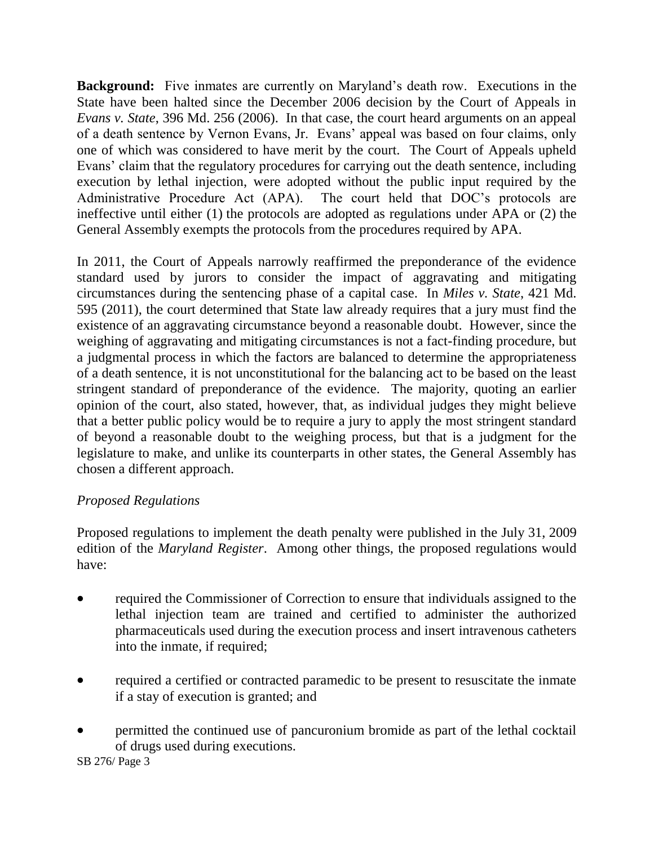**Background:** Five inmates are currently on Maryland's death row. Executions in the State have been halted since the December 2006 decision by the Court of Appeals in *Evans v. State*, 396 Md. 256 (2006). In that case, the court heard arguments on an appeal of a death sentence by Vernon Evans, Jr. Evans' appeal was based on four claims, only one of which was considered to have merit by the court. The Court of Appeals upheld Evans' claim that the regulatory procedures for carrying out the death sentence, including execution by lethal injection, were adopted without the public input required by the Administrative Procedure Act (APA). The court held that DOC's protocols are ineffective until either (1) the protocols are adopted as regulations under APA or (2) the General Assembly exempts the protocols from the procedures required by APA.

In 2011, the Court of Appeals narrowly reaffirmed the preponderance of the evidence standard used by jurors to consider the impact of aggravating and mitigating circumstances during the sentencing phase of a capital case. In *Miles v. State*, 421 Md. 595 (2011), the court determined that State law already requires that a jury must find the existence of an aggravating circumstance beyond a reasonable doubt. However, since the weighing of aggravating and mitigating circumstances is not a fact-finding procedure, but a judgmental process in which the factors are balanced to determine the appropriateness of a death sentence, it is not unconstitutional for the balancing act to be based on the least stringent standard of preponderance of the evidence. The majority, quoting an earlier opinion of the court, also stated, however, that, as individual judges they might believe that a better public policy would be to require a jury to apply the most stringent standard of beyond a reasonable doubt to the weighing process, but that is a judgment for the legislature to make, and unlike its counterparts in other states, the General Assembly has chosen a different approach.

## *Proposed Regulations*

Proposed regulations to implement the death penalty were published in the July 31, 2009 edition of the *Maryland Register*. Among other things, the proposed regulations would have:

- required the Commissioner of Correction to ensure that individuals assigned to the lethal injection team are trained and certified to administer the authorized pharmaceuticals used during the execution process and insert intravenous catheters into the inmate, if required;
- required a certified or contracted paramedic to be present to resuscitate the inmate if a stay of execution is granted; and
- permitted the continued use of pancuronium bromide as part of the lethal cocktail of drugs used during executions.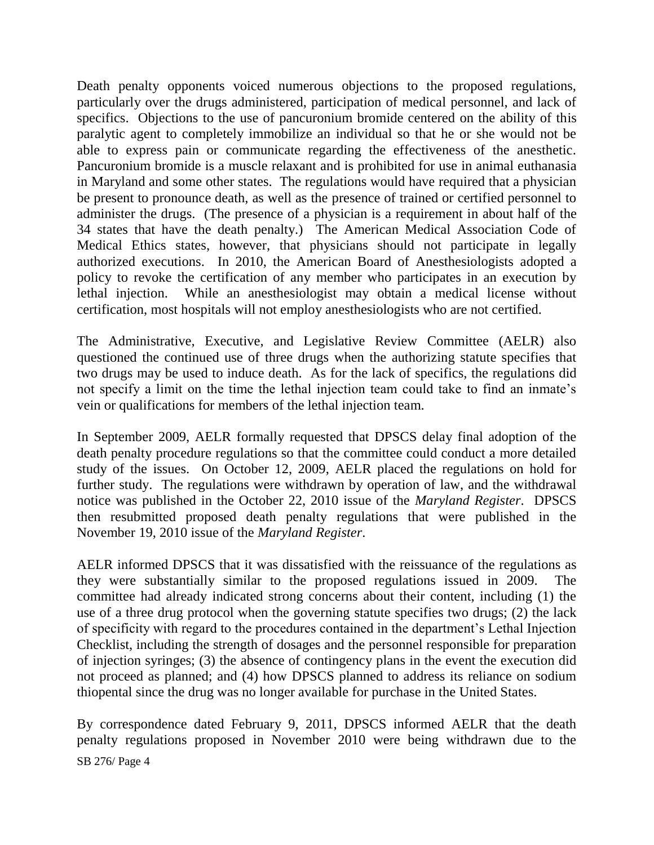Death penalty opponents voiced numerous objections to the proposed regulations, particularly over the drugs administered, participation of medical personnel, and lack of specifics. Objections to the use of pancuronium bromide centered on the ability of this paralytic agent to completely immobilize an individual so that he or she would not be able to express pain or communicate regarding the effectiveness of the anesthetic. Pancuronium bromide is a muscle relaxant and is prohibited for use in animal euthanasia in Maryland and some other states. The regulations would have required that a physician be present to pronounce death, as well as the presence of trained or certified personnel to administer the drugs. (The presence of a physician is a requirement in about half of the 34 states that have the death penalty.) The American Medical Association Code of Medical Ethics states, however, that physicians should not participate in legally authorized executions. In 2010, the American Board of Anesthesiologists adopted a policy to revoke the certification of any member who participates in an execution by lethal injection. While an anesthesiologist may obtain a medical license without certification, most hospitals will not employ anesthesiologists who are not certified.

The Administrative, Executive, and Legislative Review Committee (AELR) also questioned the continued use of three drugs when the authorizing statute specifies that two drugs may be used to induce death. As for the lack of specifics, the regulations did not specify a limit on the time the lethal injection team could take to find an inmate's vein or qualifications for members of the lethal injection team.

In September 2009, AELR formally requested that DPSCS delay final adoption of the death penalty procedure regulations so that the committee could conduct a more detailed study of the issues. On October 12, 2009, AELR placed the regulations on hold for further study. The regulations were withdrawn by operation of law, and the withdrawal notice was published in the October 22, 2010 issue of the *Maryland Register*. DPSCS then resubmitted proposed death penalty regulations that were published in the November 19, 2010 issue of the *Maryland Register*.

AELR informed DPSCS that it was dissatisfied with the reissuance of the regulations as they were substantially similar to the proposed regulations issued in 2009. The committee had already indicated strong concerns about their content, including (1) the use of a three drug protocol when the governing statute specifies two drugs; (2) the lack of specificity with regard to the procedures contained in the department's Lethal Injection Checklist, including the strength of dosages and the personnel responsible for preparation of injection syringes; (3) the absence of contingency plans in the event the execution did not proceed as planned; and (4) how DPSCS planned to address its reliance on sodium thiopental since the drug was no longer available for purchase in the United States.

SB 276/ Page 4 By correspondence dated February 9, 2011, DPSCS informed AELR that the death penalty regulations proposed in November 2010 were being withdrawn due to the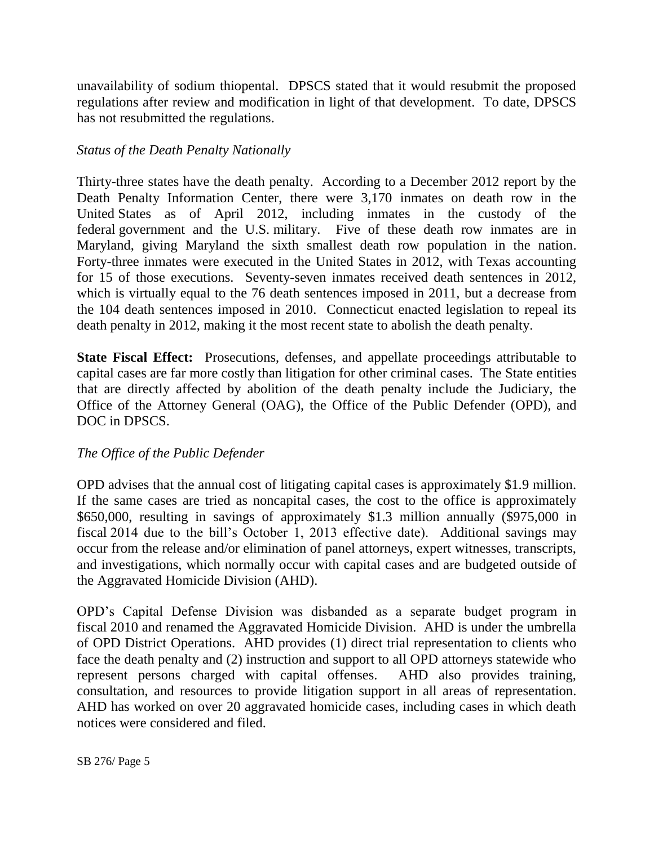unavailability of sodium thiopental. DPSCS stated that it would resubmit the proposed regulations after review and modification in light of that development. To date, DPSCS has not resubmitted the regulations.

## *Status of the Death Penalty Nationally*

Thirty-three states have the death penalty. According to a December 2012 report by the Death Penalty Information Center, there were 3,170 inmates on death row in the United States as of April 2012, including inmates in the custody of the federal government and the U.S. military. Five of these death row inmates are in Maryland, giving Maryland the sixth smallest death row population in the nation. Forty-three inmates were executed in the United States in 2012, with Texas accounting for 15 of those executions. Seventy-seven inmates received death sentences in 2012, which is virtually equal to the 76 death sentences imposed in 2011, but a decrease from the 104 death sentences imposed in 2010. Connecticut enacted legislation to repeal its death penalty in 2012, making it the most recent state to abolish the death penalty.

**State Fiscal Effect:** Prosecutions, defenses, and appellate proceedings attributable to capital cases are far more costly than litigation for other criminal cases. The State entities that are directly affected by abolition of the death penalty include the Judiciary, the Office of the Attorney General (OAG), the Office of the Public Defender (OPD), and DOC in DPSCS.

## *The Office of the Public Defender*

OPD advises that the annual cost of litigating capital cases is approximately \$1.9 million. If the same cases are tried as noncapital cases, the cost to the office is approximately \$650,000, resulting in savings of approximately \$1.3 million annually (\$975,000 in fiscal 2014 due to the bill's October 1, 2013 effective date). Additional savings may occur from the release and/or elimination of panel attorneys, expert witnesses, transcripts, and investigations, which normally occur with capital cases and are budgeted outside of the Aggravated Homicide Division (AHD).

OPD's Capital Defense Division was disbanded as a separate budget program in fiscal 2010 and renamed the Aggravated Homicide Division. AHD is under the umbrella of OPD District Operations. AHD provides (1) direct trial representation to clients who face the death penalty and (2) instruction and support to all OPD attorneys statewide who represent persons charged with capital offenses. AHD also provides training, consultation, and resources to provide litigation support in all areas of representation. AHD has worked on over 20 aggravated homicide cases, including cases in which death notices were considered and filed.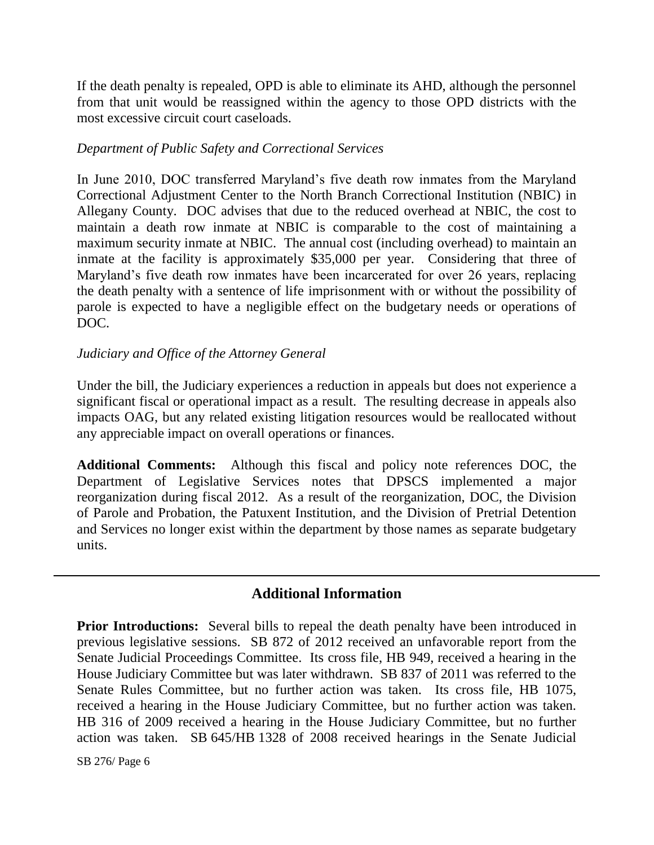If the death penalty is repealed, OPD is able to eliminate its AHD, although the personnel from that unit would be reassigned within the agency to those OPD districts with the most excessive circuit court caseloads.

#### *Department of Public Safety and Correctional Services*

In June 2010, DOC transferred Maryland's five death row inmates from the Maryland Correctional Adjustment Center to the North Branch Correctional Institution (NBIC) in Allegany County. DOC advises that due to the reduced overhead at NBIC, the cost to maintain a death row inmate at NBIC is comparable to the cost of maintaining a maximum security inmate at NBIC. The annual cost (including overhead) to maintain an inmate at the facility is approximately \$35,000 per year. Considering that three of Maryland's five death row inmates have been incarcerated for over 26 years, replacing the death penalty with a sentence of life imprisonment with or without the possibility of parole is expected to have a negligible effect on the budgetary needs or operations of DOC.

## *Judiciary and Office of the Attorney General*

Under the bill, the Judiciary experiences a reduction in appeals but does not experience a significant fiscal or operational impact as a result. The resulting decrease in appeals also impacts OAG, but any related existing litigation resources would be reallocated without any appreciable impact on overall operations or finances.

**Additional Comments:** Although this fiscal and policy note references DOC, the Department of Legislative Services notes that DPSCS implemented a major reorganization during fiscal 2012. As a result of the reorganization, DOC, the Division of Parole and Probation, the Patuxent Institution, and the Division of Pretrial Detention and Services no longer exist within the department by those names as separate budgetary units.

## **Additional Information**

**Prior Introductions:** Several bills to repeal the death penalty have been introduced in previous legislative sessions. SB 872 of 2012 received an unfavorable report from the Senate Judicial Proceedings Committee. Its cross file, HB 949, received a hearing in the House Judiciary Committee but was later withdrawn. SB 837 of 2011 was referred to the Senate Rules Committee, but no further action was taken. Its cross file, HB 1075, received a hearing in the House Judiciary Committee, but no further action was taken. HB 316 of 2009 received a hearing in the House Judiciary Committee, but no further action was taken. SB 645/HB 1328 of 2008 received hearings in the Senate Judicial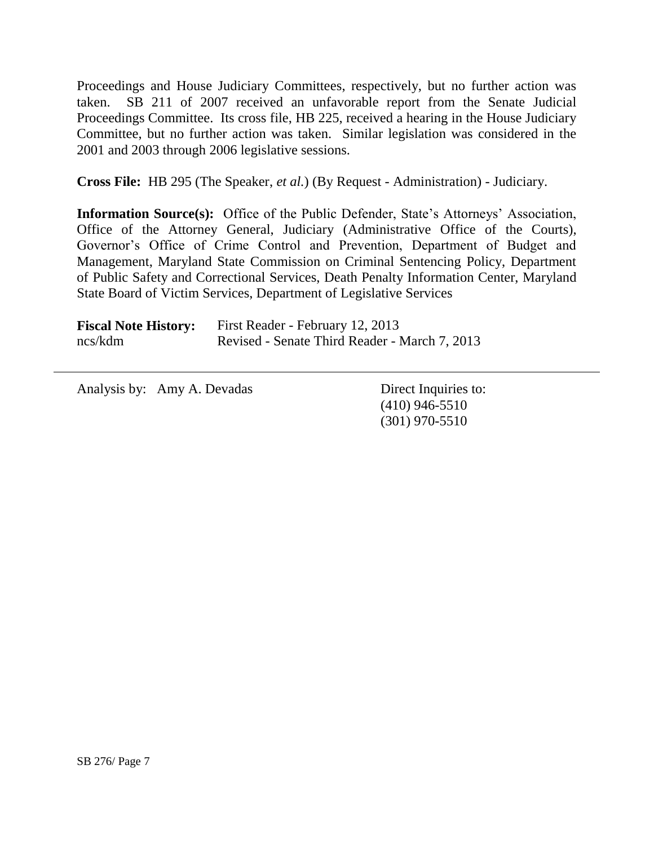Proceedings and House Judiciary Committees, respectively, but no further action was taken. SB 211 of 2007 received an unfavorable report from the Senate Judicial Proceedings Committee. Its cross file, HB 225, received a hearing in the House Judiciary Committee, but no further action was taken. Similar legislation was considered in the 2001 and 2003 through 2006 legislative sessions.

**Cross File:** HB 295 (The Speaker, *et al.*) (By Request - Administration) - Judiciary.

**Information Source(s):** Office of the Public Defender, State's Attorneys' Association, Office of the Attorney General, Judiciary (Administrative Office of the Courts), Governor's Office of Crime Control and Prevention, Department of Budget and Management, Maryland State Commission on Criminal Sentencing Policy, Department of Public Safety and Correctional Services, Death Penalty Information Center, Maryland State Board of Victim Services, Department of Legislative Services

| <b>Fiscal Note History:</b> | First Reader - February 12, 2013              |
|-----------------------------|-----------------------------------------------|
| ncs/kdm                     | Revised - Senate Third Reader - March 7, 2013 |

Analysis by: Amy A. Devadas Direct Inquiries to:

(410) 946-5510 (301) 970-5510